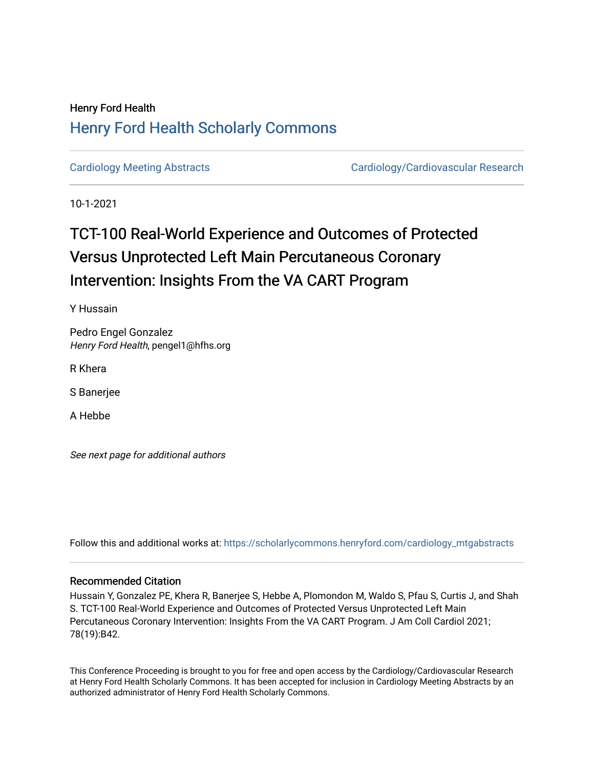## Henry Ford Health [Henry Ford Health Scholarly Commons](https://scholarlycommons.henryford.com/)

[Cardiology Meeting Abstracts](https://scholarlycommons.henryford.com/cardiology_mtgabstracts) Cardiology/Cardiovascular Research

10-1-2021

# TCT-100 Real-World Experience and Outcomes of Protected Versus Unprotected Left Main Percutaneous Coronary Intervention: Insights From the VA CART Program

Y Hussain

Pedro Engel Gonzalez Henry Ford Health, pengel1@hfhs.org

R Khera

S Banerjee

A Hebbe

See next page for additional authors

Follow this and additional works at: [https://scholarlycommons.henryford.com/cardiology\\_mtgabstracts](https://scholarlycommons.henryford.com/cardiology_mtgabstracts?utm_source=scholarlycommons.henryford.com%2Fcardiology_mtgabstracts%2F313&utm_medium=PDF&utm_campaign=PDFCoverPages) 

### Recommended Citation

Hussain Y, Gonzalez PE, Khera R, Banerjee S, Hebbe A, Plomondon M, Waldo S, Pfau S, Curtis J, and Shah S. TCT-100 Real-World Experience and Outcomes of Protected Versus Unprotected Left Main Percutaneous Coronary Intervention: Insights From the VA CART Program. J Am Coll Cardiol 2021; 78(19):B42.

This Conference Proceeding is brought to you for free and open access by the Cardiology/Cardiovascular Research at Henry Ford Health Scholarly Commons. It has been accepted for inclusion in Cardiology Meeting Abstracts by an authorized administrator of Henry Ford Health Scholarly Commons.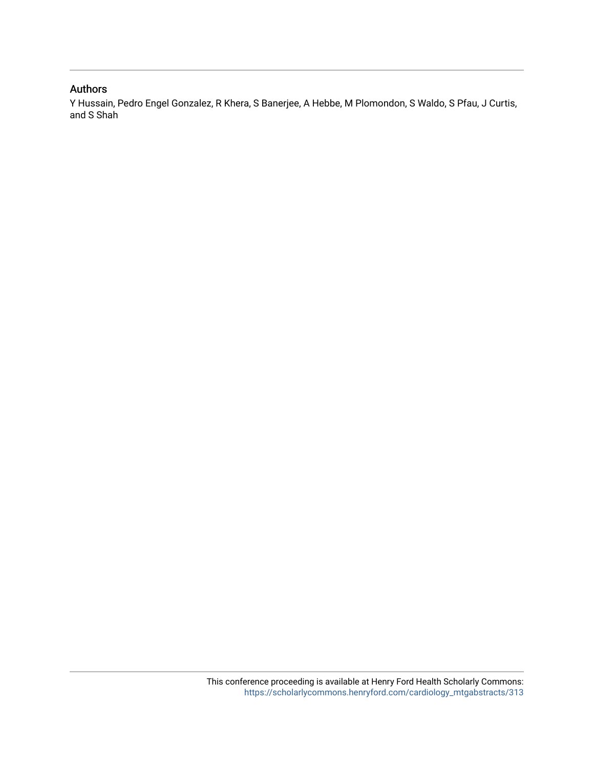## Authors

Y Hussain, Pedro Engel Gonzalez, R Khera, S Banerjee, A Hebbe, M Plomondon, S Waldo, S Pfau, J Curtis, and S Shah